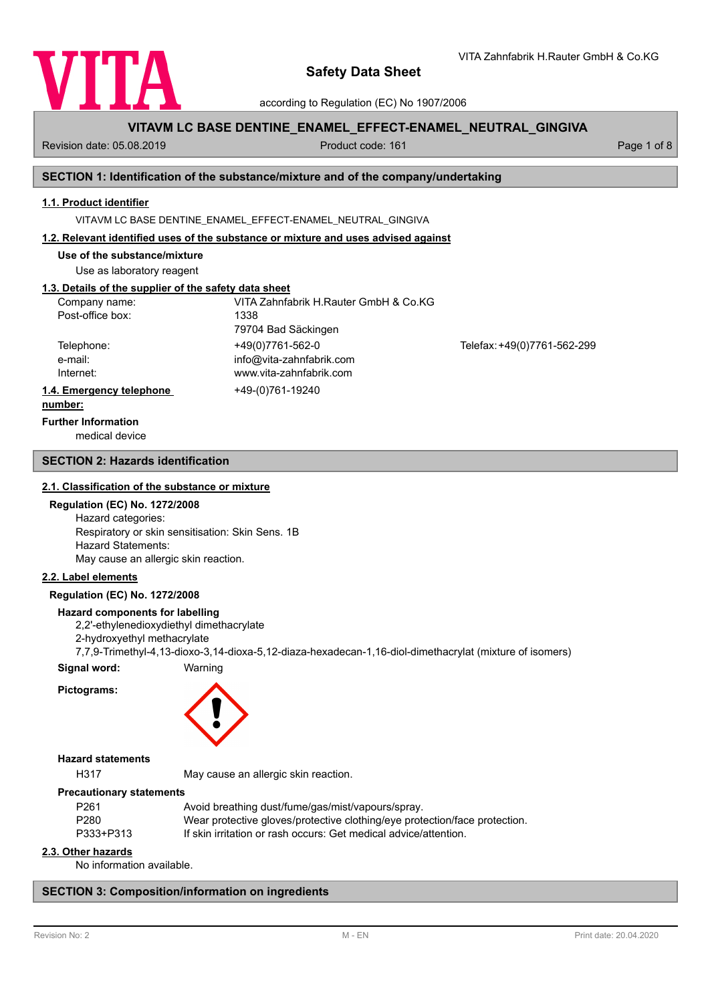

according to Regulation (EC) No 1907/2006

# **VITAVM LC BASE DENTINE\_ENAMEL\_EFFECT-ENAMEL\_NEUTRAL\_GINGIVA**

Revision date: 05.08.2019 **Product code: 161** Product code: 161 **Page 1 of 8** Page 1 of 8

VITA Zahnfabrik H.Rauter GmbH & Co.KG

# **SECTION 1: Identification of the substance/mixture and of the company/undertaking**

## **1.1. Product identifier**

VITAVM LC BASE DENTINE\_ENAMEL\_EFFECT-ENAMEL\_NEUTRAL\_GINGIVA

## **1.2. Relevant identified uses of the substance or mixture and uses advised against**

**Use of the substance/mixture**

Use as laboratory reagent

# **1.3. Details of the supplier of the safety data sheet**

| Company name:            | VITA Zahnfabrik H.Rauter GmbH & Co.KG |                             |
|--------------------------|---------------------------------------|-----------------------------|
| Post-office box:         | 1338                                  |                             |
|                          | 79704 Bad Säckingen                   |                             |
| Telephone:               | +49(0)7761-562-0                      | Telefax: +49(0)7761-562-299 |
| e-mail:                  | info@vita-zahnfabrik.com              |                             |
| Internet:                | www.vita-zahnfabrik.com               |                             |
| 1.4. Emergency telephone | +49-(0)761-19240                      |                             |
| .                        |                                       |                             |

#### **number:**

## **Further Information**

medical device

## **SECTION 2: Hazards identification**

## **2.1. Classification of the substance or mixture**

## **Regulation (EC) No. 1272/2008**

Hazard categories: Respiratory or skin sensitisation: Skin Sens. 1B Hazard Statements: May cause an allergic skin reaction.

## **2.2. Label elements**

## **Regulation (EC) No. 1272/2008**

#### **Hazard components for labelling**

2,2'-ethylenedioxydiethyl dimethacrylate

2-hydroxyethyl methacrylate

7,7,9-Trimethyl-4,13-dioxo-3,14-dioxa-5,12-diaza-hexadecan-1,16-diol-dimethacrylat (mixture of isomers)

**Signal word:** Warning

**Pictograms:**



## **Hazard statements**

H317 May cause an allergic skin reaction.

## **Precautionary statements**

| .         |                                                                            |
|-----------|----------------------------------------------------------------------------|
| P261      | Avoid breathing dust/fume/gas/mist/vapours/spray.                          |
| P280      | Wear protective gloves/protective clothing/eye protection/face protection. |
| P333+P313 | If skin irritation or rash occurs: Get medical advice/attention.           |
|           |                                                                            |

## **2.3. Other hazards**

No information available.

## **SECTION 3: Composition/information on ingredients**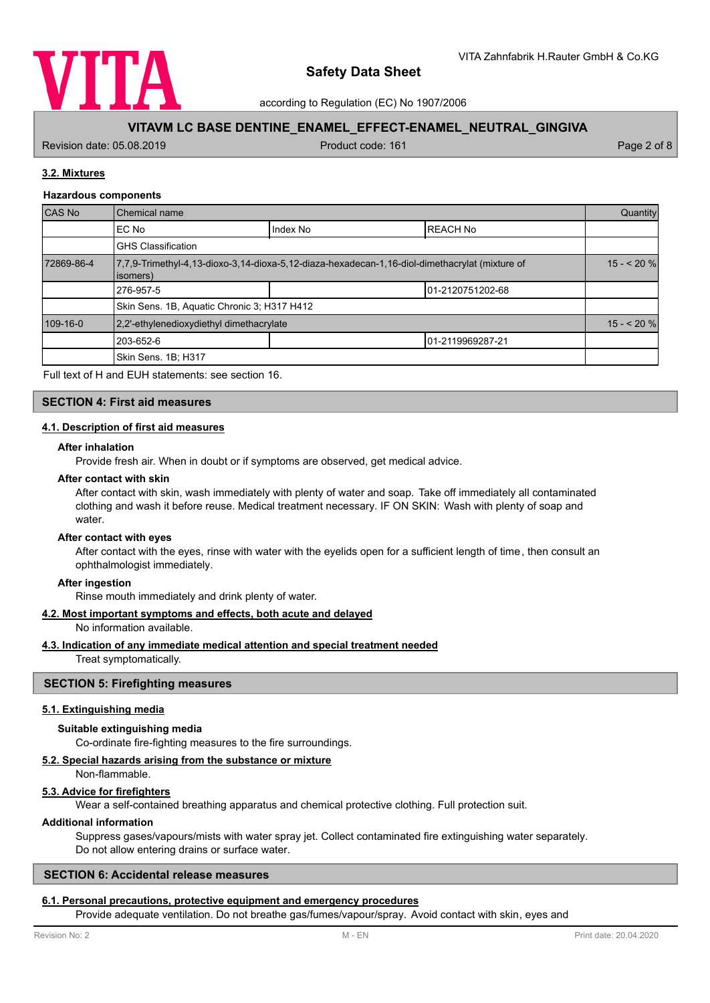

according to Regulation (EC) No 1907/2006

# **VITAVM LC BASE DENTINE\_ENAMEL\_EFFECT-ENAMEL\_NEUTRAL\_GINGIVA**

Revision date: 05.08.2019 **Product code: 161** Product code: 161 **Page 2 of 8** Page 2 of 8

# **3.2. Mixtures**

## **Hazardous components**

| CAS No     | Chemical name                                                                                              |          | Quantity          |  |
|------------|------------------------------------------------------------------------------------------------------------|----------|-------------------|--|
|            | EC No                                                                                                      | Index No | <b>REACH No</b>   |  |
|            | <b>GHS Classification</b>                                                                                  |          |                   |  |
| 72869-86-4 | 7,7,9-Trimethyl-4,13-dioxo-3,14-dioxa-5,12-diaza-hexadecan-1,16-diol-dimethacrylat (mixture of<br>(isomers |          | $15 - 20$ %       |  |
|            | 276-957-5                                                                                                  |          | 101-2120751202-68 |  |
|            | Skin Sens. 1B, Aquatic Chronic 3; H317 H412                                                                |          |                   |  |
| 109-16-0   | 2,2'-ethylenedioxydiethyl dimethacrylate                                                                   |          | $15 - 20%$        |  |
|            | 203-652-6                                                                                                  |          | 01-2119969287-21  |  |
|            | Skin Sens. 1B; H317                                                                                        |          |                   |  |

Full text of H and EUH statements: see section 16.

## **SECTION 4: First aid measures**

## **4.1. Description of first aid measures**

## **After inhalation**

Provide fresh air. When in doubt or if symptoms are observed, get medical advice.

## **After contact with skin**

After contact with skin, wash immediately with plenty of water and soap. Take off immediately all contaminated clothing and wash it before reuse. Medical treatment necessary. IF ON SKIN: Wash with plenty of soap and water.

## **After contact with eyes**

After contact with the eyes, rinse with water with the eyelids open for a sufficient length of time, then consult an ophthalmologist immediately.

## **After ingestion**

Rinse mouth immediately and drink plenty of water.

## **4.2. Most important symptoms and effects, both acute and delayed**

No information available.

## **4.3. Indication of any immediate medical attention and special treatment needed**

Treat symptomatically.

## **SECTION 5: Firefighting measures**

## **5.1. Extinguishing media**

## **Suitable extinguishing media**

Co-ordinate fire-fighting measures to the fire surroundings.

## **5.2. Special hazards arising from the substance or mixture**

Non-flammable.

## **5.3. Advice for firefighters**

Wear a self-contained breathing apparatus and chemical protective clothing. Full protection suit.

## **Additional information**

Suppress gases/vapours/mists with water spray jet. Collect contaminated fire extinguishing water separately. Do not allow entering drains or surface water.

## **SECTION 6: Accidental release measures**

## **6.1. Personal precautions, protective equipment and emergency procedures**

Provide adequate ventilation. Do not breathe gas/fumes/vapour/spray. Avoid contact with skin, eyes and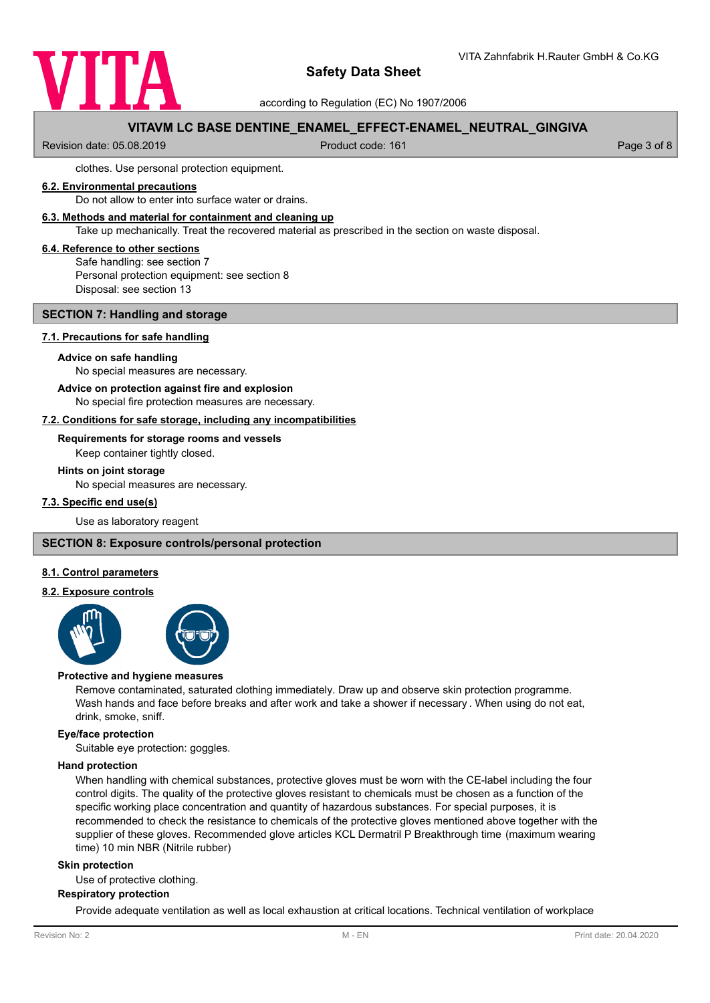

according to Regulation (EC) No 1907/2006

# **VITAVM LC BASE DENTINE\_ENAMEL\_EFFECT-ENAMEL\_NEUTRAL\_GINGIVA**

Revision date: 05.08.2019 **Product code: 161** Product code: 161 **Page 3 of 8** Page 3 of 8

clothes. Use personal protection equipment.

## **6.2. Environmental precautions**

Do not allow to enter into surface water or drains.

## **6.3. Methods and material for containment and cleaning up**

Take up mechanically. Treat the recovered material as prescribed in the section on waste disposal.

## **6.4. Reference to other sections**

Safe handling: see section 7 Personal protection equipment: see section 8 Disposal: see section 13

## **SECTION 7: Handling and storage**

## **7.1. Precautions for safe handling**

#### **Advice on safe handling**

No special measures are necessary.

#### **Advice on protection against fire and explosion**

No special fire protection measures are necessary.

## **7.2. Conditions for safe storage, including any incompatibilities**

## **Requirements for storage rooms and vessels**

Keep container tightly closed.

## **Hints on joint storage**

No special measures are necessary.

## **7.3. Specific end use(s)**

Use as laboratory reagent

## **SECTION 8: Exposure controls/personal protection**

## **8.1. Control parameters**

## **8.2. Exposure controls**



#### **Protective and hygiene measures**

Remove contaminated, saturated clothing immediately. Draw up and observe skin protection programme. Wash hands and face before breaks and after work and take a shower if necessary . When using do not eat, drink, smoke, sniff.

## **Eye/face protection**

Suitable eye protection: goggles.

## **Hand protection**

When handling with chemical substances, protective gloves must be worn with the CE-label including the four control digits. The quality of the protective gloves resistant to chemicals must be chosen as a function of the specific working place concentration and quantity of hazardous substances. For special purposes, it is recommended to check the resistance to chemicals of the protective gloves mentioned above together with the supplier of these gloves. Recommended glove articles KCL Dermatril P Breakthrough time (maximum wearing time) 10 min NBR (Nitrile rubber)

## **Skin protection**

Use of protective clothing.

## **Respiratory protection**

Provide adequate ventilation as well as local exhaustion at critical locations. Technical ventilation of workplace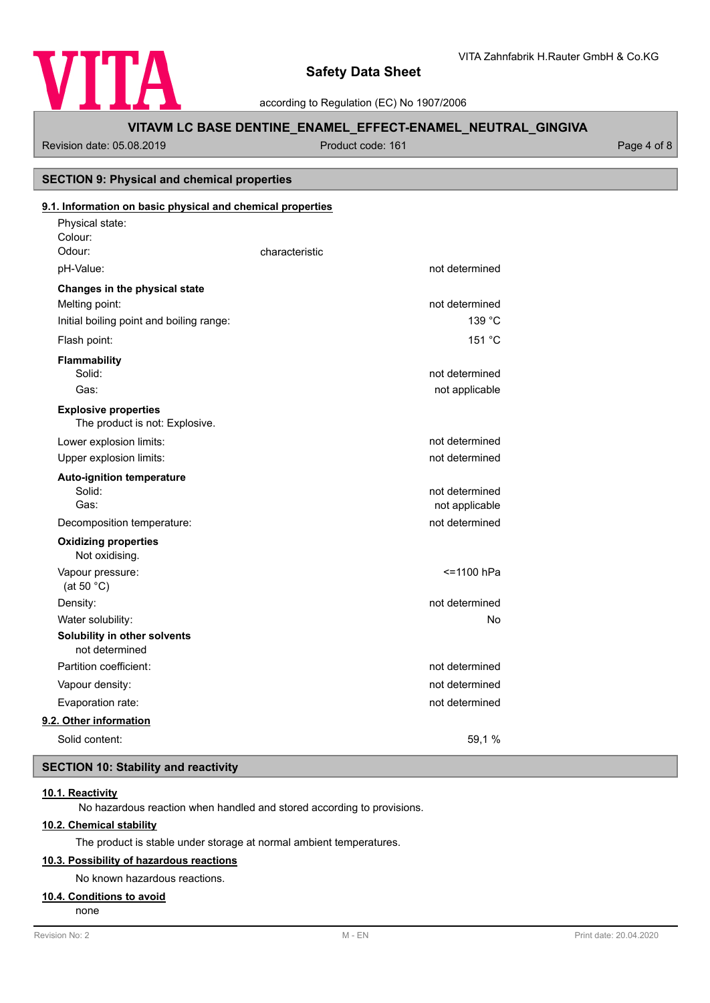

according to Regulation (EC) No 1907/2006

# **VITAVM LC BASE DENTINE\_ENAMEL\_EFFECT-ENAMEL\_NEUTRAL\_GINGIVA**

Revision date: 05.08.2019 <br>
Product code: 161 Page 4 of 8

# Physical state: Colour: **9.1. Information on basic physical and chemical properties SECTION 9: Physical and chemical properties** Odour: Characteristic pH-Value: not determined **Changes in the physical state** Melting point: not determined Initial boiling point and boiling range: 139 °C Flash point: 151 °C **Flammability** Solid: **not determined** and the solid: **not determined** and the solid: **not determined** and the solid: **not determined** and the solid: **not determined** and the solid: **not determined** and the solid: **note** that the solid: Gas: contract the contract of the contract of the contract of the contract of the contract of the contract of the contract of the contract of the contract of the contract of the contract of the contract of the contract of The product is not: Explosive. **Explosive properties** Lower explosion limits:  $\qquad \qquad \qquad$  not determined Upper explosion limits:  $\blacksquare$ **Auto-ignition temperature** Solid: **not determined** and the solid: **not determined** and the solid: **not determined** and the solid: **not determined** and the solid: **not determined** and the solid: **not determined** and the solid: **note** that the solid: Gas: Gas: not applicable contract to the contract of the contract of the contract of the contract of the contract of the contract of the contract of the contract of the contract of the contract of the contract of the contr Decomposition temperature: not determined Not oxidising. **Oxidizing properties** Vapour pressure:  $\le$  1100 hPa (at 50 °C) Density: not determined Water solubility: No **Solubility in other solvents** not determined Partition coefficient: not determined Vapour density: not determined Evaporation rate: not determined **9.2. Other information** Solid content: 59,1 %

# **SECTION 10: Stability and reactivity**

## **10.1. Reactivity**

No hazardous reaction when handled and stored according to provisions.

## **10.2. Chemical stability**

The product is stable under storage at normal ambient temperatures.

## **10.3. Possibility of hazardous reactions**

No known hazardous reactions.

## **10.4. Conditions to avoid**

none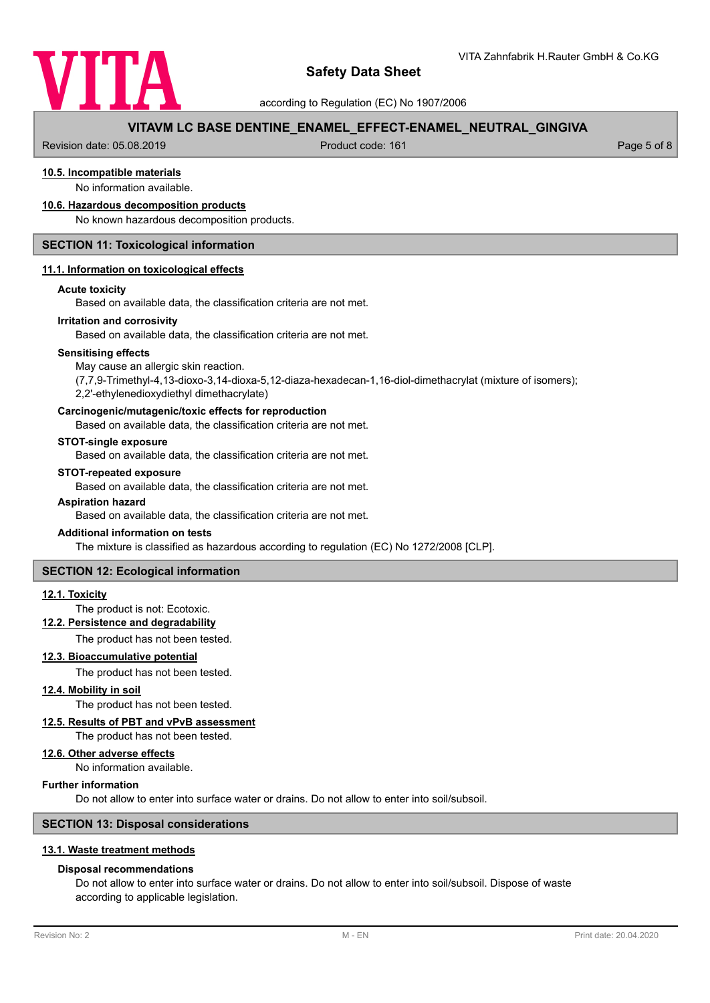

according to Regulation (EC) No 1907/2006

# **VITAVM LC BASE DENTINE\_ENAMEL\_EFFECT-ENAMEL\_NEUTRAL\_GINGIVA**

Revision date: 05.08.2019 **Product code: 161** Product code: 161 **Page 5 of 8** Page 5 of 8

# **10.5. Incompatible materials**

No information available.

## **10.6. Hazardous decomposition products**

No known hazardous decomposition products.

## **SECTION 11: Toxicological information**

## **11.1. Information on toxicological effects**

## **Acute toxicity**

Based on available data, the classification criteria are not met.

## **Irritation and corrosivity**

Based on available data, the classification criteria are not met.

## **Sensitising effects**

May cause an allergic skin reaction.

(7,7,9-Trimethyl-4,13-dioxo-3,14-dioxa-5,12-diaza-hexadecan-1,16-diol-dimethacrylat (mixture of isomers); 2,2'-ethylenedioxydiethyl dimethacrylate)

## **Carcinogenic/mutagenic/toxic effects for reproduction**

Based on available data, the classification criteria are not met.

## **STOT-single exposure**

Based on available data, the classification criteria are not met.

## **STOT-repeated exposure**

Based on available data, the classification criteria are not met.

#### **Aspiration hazard**

Based on available data, the classification criteria are not met.

# **Additional information on tests**

The mixture is classified as hazardous according to regulation (EC) No 1272/2008 [CLP].

## **SECTION 12: Ecological information**

## **12.1. Toxicity**

## The product is not: Ecotoxic.

**12.2. Persistence and degradability**

The product has not been tested.

## **12.3. Bioaccumulative potential**

The product has not been tested.

## **12.4. Mobility in soil**

The product has not been tested.

## **12.5. Results of PBT and vPvB assessment**

The product has not been tested.

# **12.6. Other adverse effects**

No information available.

## **Further information**

Do not allow to enter into surface water or drains. Do not allow to enter into soil/subsoil.

## **SECTION 13: Disposal considerations**

## **13.1. Waste treatment methods**

# **Disposal recommendations**

Do not allow to enter into surface water or drains. Do not allow to enter into soil/subsoil. Dispose of waste according to applicable legislation.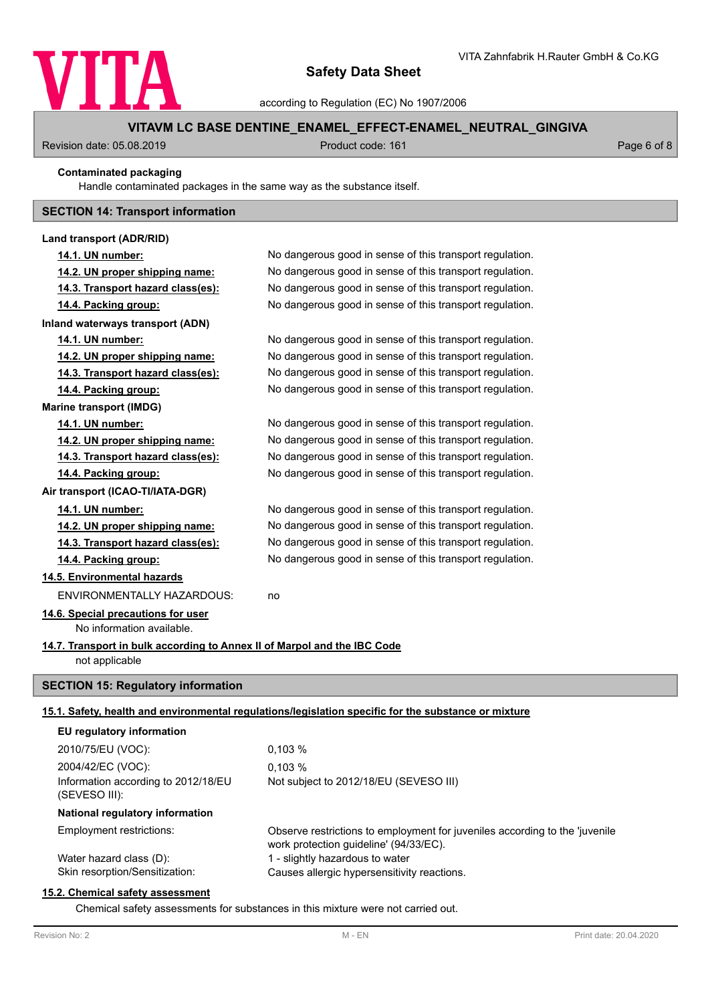

according to Regulation (EC) No 1907/2006

# **VITAVM LC BASE DENTINE\_ENAMEL\_EFFECT-ENAMEL\_NEUTRAL\_GINGIVA**

Revision date: 05.08.2019 **Product code: 161** Product code: 161 **Page 6 of 8** 

## **Contaminated packaging**

Handle contaminated packages in the same way as the substance itself.

## **SECTION 14: Transport information**

| Land transport (ADR/RID)                                                                   |                                                                                                                       |
|--------------------------------------------------------------------------------------------|-----------------------------------------------------------------------------------------------------------------------|
| 14.1. UN number:                                                                           | No dangerous good in sense of this transport regulation.                                                              |
| 14.2. UN proper shipping name:                                                             | No dangerous good in sense of this transport regulation.                                                              |
| 14.3. Transport hazard class(es):                                                          | No dangerous good in sense of this transport regulation.                                                              |
| 14.4. Packing group:                                                                       | No dangerous good in sense of this transport regulation.                                                              |
| Inland waterways transport (ADN)                                                           |                                                                                                                       |
| 14.1. UN number:                                                                           | No dangerous good in sense of this transport regulation.                                                              |
| 14.2. UN proper shipping name:                                                             | No dangerous good in sense of this transport regulation.                                                              |
| 14.3. Transport hazard class(es):                                                          | No dangerous good in sense of this transport regulation.                                                              |
| 14.4. Packing group:                                                                       | No dangerous good in sense of this transport regulation.                                                              |
| <b>Marine transport (IMDG)</b>                                                             |                                                                                                                       |
| 14.1. UN number:                                                                           | No dangerous good in sense of this transport regulation.                                                              |
| 14.2. UN proper shipping name:                                                             | No dangerous good in sense of this transport regulation.                                                              |
| 14.3. Transport hazard class(es):                                                          | No dangerous good in sense of this transport regulation.                                                              |
| 14.4. Packing group:                                                                       | No dangerous good in sense of this transport regulation.                                                              |
| Air transport (ICAO-TI/IATA-DGR)                                                           |                                                                                                                       |
| 14.1. UN number:                                                                           | No dangerous good in sense of this transport regulation.                                                              |
| 14.2. UN proper shipping name:                                                             | No dangerous good in sense of this transport regulation.                                                              |
| 14.3. Transport hazard class(es):                                                          | No dangerous good in sense of this transport regulation.                                                              |
| 14.4. Packing group:                                                                       | No dangerous good in sense of this transport regulation.                                                              |
| 14.5. Environmental hazards                                                                |                                                                                                                       |
| <b>ENVIRONMENTALLY HAZARDOUS:</b>                                                          | no                                                                                                                    |
| 14.6. Special precautions for user<br>No information available.                            |                                                                                                                       |
| 14.7. Transport in bulk according to Annex II of Marpol and the IBC Code<br>not applicable |                                                                                                                       |
|                                                                                            |                                                                                                                       |
| <b>SECTION 15: Regulatory information</b>                                                  |                                                                                                                       |
|                                                                                            | 15.1. Safety, health and environmental regulations/legislation specific for the substance or mixture                  |
| EU regulatory information                                                                  |                                                                                                                       |
| 2010/75/EU (VOC):                                                                          | 0.103%                                                                                                                |
| 2004/42/EC (VOC):                                                                          | 0.103%                                                                                                                |
| Information according to 2012/18/EU<br>(SEVESO III):                                       | Not subject to 2012/18/EU (SEVESO III)                                                                                |
| National regulatory information                                                            |                                                                                                                       |
| Employment restrictions:                                                                   | Observe restrictions to employment for juveniles according to the 'juvenile<br>work protection guideline' (94/33/EC). |
| Water hazard class (D):                                                                    | 1 - slightly hazardous to water                                                                                       |
| Skin resorption/Sensitization:                                                             | Causes allergic hypersensitivity reactions.                                                                           |
|                                                                                            |                                                                                                                       |

# **15.2. Chemical safety assessment**

Chemical safety assessments for substances in this mixture were not carried out.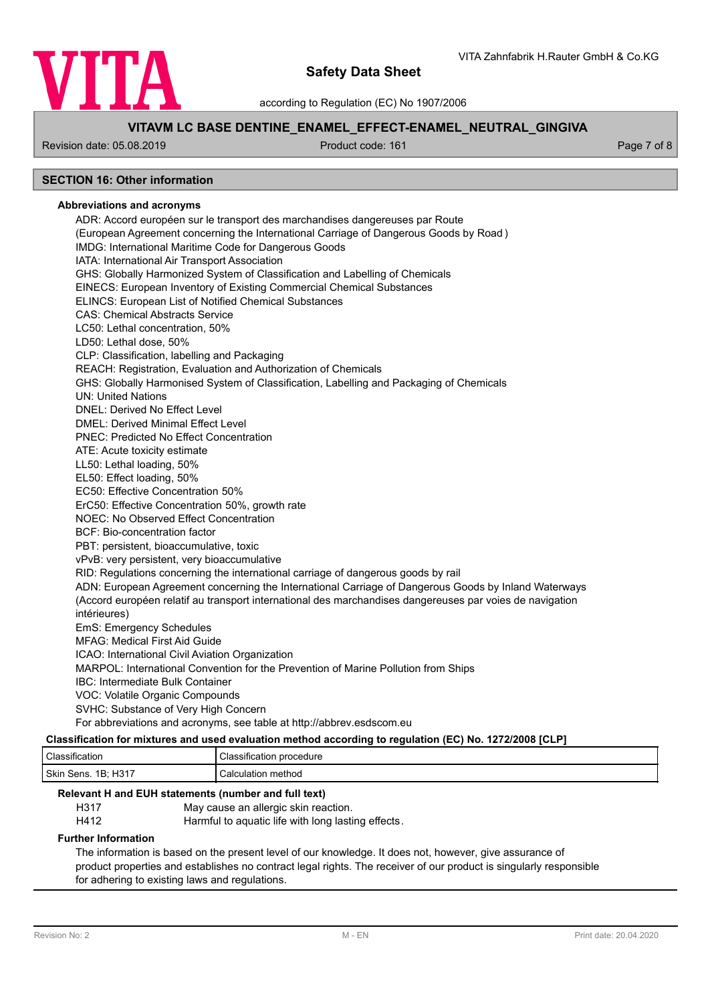

according to Regulation (EC) No 1907/2006

# **VITAVM LC BASE DENTINE\_ENAMEL\_EFFECT-ENAMEL\_NEUTRAL\_GINGIVA**

Revision date: 05.08.2019 **Product code: 161** Product code: 161 **Page 7 of 8** Page 7 of 8

# **SECTION 16: Other information**

## **Abbreviations and acronyms**

ADR: Accord européen sur le transport des marchandises dangereuses par Route (European Agreement concerning the International Carriage of Dangerous Goods by Road ) IMDG: International Maritime Code for Dangerous Goods IATA: International Air Transport Association GHS: Globally Harmonized System of Classification and Labelling of Chemicals EINECS: European Inventory of Existing Commercial Chemical Substances ELINCS: European List of Notified Chemical Substances CAS: Chemical Abstracts Service LC50: Lethal concentration, 50% LD50: Lethal dose, 50% CLP: Classification, labelling and Packaging REACH: Registration, Evaluation and Authorization of Chemicals GHS: Globally Harmonised System of Classification, Labelling and Packaging of Chemicals UN: United Nations DNEL: Derived No Effect Level DMEL: Derived Minimal Effect Level PNEC: Predicted No Effect Concentration ATE: Acute toxicity estimate LL50: Lethal loading, 50% EL50: Effect loading, 50% EC50: Effective Concentration 50% ErC50: Effective Concentration 50%, growth rate NOEC: No Observed Effect Concentration BCF: Bio-concentration factor PBT: persistent, bioaccumulative, toxic vPvB: very persistent, very bioaccumulative RID: Regulations concerning the international carriage of dangerous goods by rail ADN: European Agreement concerning the International Carriage of Dangerous Goods by Inland Waterways (Accord européen relatif au transport international des marchandises dangereuses par voies de navigation intérieures) EmS: Emergency Schedules MFAG: Medical First Aid Guide ICAO: International Civil Aviation Organization MARPOL: International Convention for the Prevention of Marine Pollution from Ships IBC: Intermediate Bulk Container VOC: Volatile Organic Compounds SVHC: Substance of Very High Concern For abbreviations and acronyms, see table at http://abbrev.esdscom.eu

## **Classification for mixtures and used evaluation method according to regulation (EC) No. 1272/2008 [CLP]**

| Classification | Jassification procedure |
|----------------|-------------------------|
| Skin Sens.     | າ method                |
| 1B; H317       | Calculation             |

# **Relevant H and EUH statements (number and full text)**

H317 May cause an allergic skin reaction.

H412 Harmful to aquatic life with long lasting effects.

## **Further Information**

The information is based on the present level of our knowledge. It does not, however, give assurance of product properties and establishes no contract legal rights. The receiver of our product is singularly responsible for adhering to existing laws and regulations.